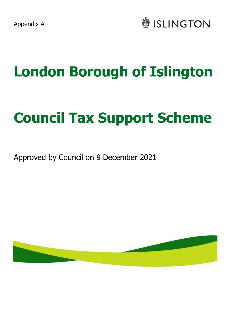

# **London Borough of Islington**

# **Council Tax Support Scheme**

# Approved by Council on 9 December 2021

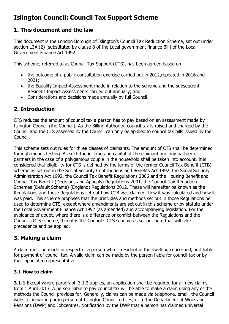# **Islington Council: Council Tax Support Scheme**

# **1. This document and the law**

This document is the London Borough of Islington's Council Tax Reduction Scheme, set out under section 13A (2) [substituted by clause 8 of the Local government finance Bill] of the Local Government Finance Act 1992.

This scheme, referred to as Council Tax Support (CTS), has been agreed based on:

- the outcome of a public consultation exercise carried out in 2012, repeated in 2016 and 2021;
- the Equality Impact Assessment made in relation to the scheme and the subsequent Resident Impact Assessments carried out annually; and
- Considerations and decisions made annually by full Council.

# **2. Introduction**

CTS reduces the amount of council tax a person has to pay based on an assessment made by Islington Council (the Council). As the Billing Authority, council tax is raised and charged by the Council and the CTS assessed by the Council can only be applied to council tax bills issued by the Council.

This scheme sets out rules for three classes of claimants. The amount of CTS shall be determined through means testing. As such the income and capital of the claimant and any partner or partners in the case of a polygamous couple in the household shall be taken into account. It is considered that eligibility for CTS is defined by the terms of the former Council Tax Benefit (CTB) scheme as set out in the Social Security Contributions and Benefits Act 1992, the Social Security Administration Act 1992, the Council Tax Benefit Regulations 2006 and the Housing Benefit and Council Tax Benefit (Decisions and Appeals) Regulations 2001, the Council Tax Reduction Schemes (Default Scheme) (England) Regulations 2012. These will hereafter be known as the Regulations and these Regulations set out how CTB was claimed, how it was calculated and how it was paid. This scheme proposes that the principles and methods set out in those Regulations be used to determine CTS, except where amendments are set out in this scheme or by statute under the Local Government Finance Act 1992 (as amended) and accompanying legislation. For the avoidance of doubt, where there is a difference or conflict between the Regulations and the Council's CTS scheme, then it is the Council's CTS scheme as set out here that will take precedence and be applied.

## **3. Making a claim**

A claim must be made in respect of a person who is resident in the dwelling concerned, and liable for payment of council tax. A valid claim can be made by the person liable for council tax or by their appointed representative.

#### **3.1 How to claim**

**3.1.1** Except where paragraph 3.1.2 applies, an application shall be required for all new claims from 1 April 2013. A person liable to pay council tax will be able to make a claim using any of the methods the Council provides for. Generally, claims can be made via telephone, email, the Council website, in writing or in person at Islington Council offices, or to the Department of Work and Pensions (DWP) and Jobcentres. Notification by the DWP that a person has claimed universal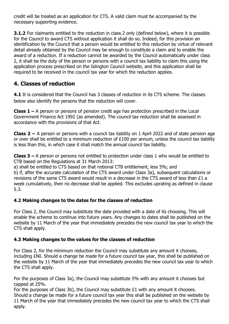credit will be treated as an application for CTS. A valid claim must be accompanied by the necessary supporting evidence.

**3.1.2** For claimants entitled to the reduction in class 2 only (defined below), where it is possible for the Council to award CTS without application it shall do so. Indeed, for this provision an identification by the Council that a person would be entitled to this reduction by virtue of relevant detail already obtained by the Council may be enough to constitute a claim and to enable the award of a reduction. If a reduction cannot be awarded by the Council automatically under class 2, it shall be the duty of the person or persons with a council tax liability to claim this using the application process prescribed on the Islington Council website, and this application shall be required to be received in the council tax year for which the reduction applies.

# **4. Classes of reduction**

**4.1** It is considered that the Council has 3 classes of reduction in its CTS scheme. The classes below also identify the persons that the reduction will cover.

**Class 1 –** A person or persons of pension credit age has protection prescribed in the Local Government Finance Act 1992 (as amended). The council tax reduction shall be assessed in accordance with the provisions of that Act.

**Class 2 –** A person or persons with a council tax liability on 1 April 2022 and of state pension age or over shall be entitled to a minimum reduction of £100 per annum, unless the council tax liability is less than this, in which case it shall match the annual council tax liability.

**Class 3 –** A person or persons not entitled to protection under class 1 who would be entitled to CTB based on the Regulations at 31 March 2013:

a) shall be entitled to CTS based on that notional CTB entitlement, less 5%; and b) if, after the accurate calculation of the CTS award under Class 3a), subsequent calculations or revisions of the same CTS award would result in a decrease in the CTS award of less than £1 a week cumulatively, then no decrease shall be applied. This excludes uprating as defined in clause

5.3.

#### **4.2 Making changes to the dates for the classes of reduction**

For Class 2, the Council may substitute the date provided with a date of its choosing. This will enable the scheme to continue into future years. Any changes to dates shall be published on the website by 11 March of the year that immediately precedes the new council tax year to which the CTS shall apply.

#### **4.3 Making changes to the values for the classes of reduction**

For Class 2, for the minimum reduction the Council may substitute any amount it chooses, including £Nil. Should a change be made for a future council tax year, this shall be published on the website by 11 March of the year that immediately precedes the new council tax year to which the CTS shall apply.

For the purposes of Class 3a), the Council may substitute 5% with any amount it chooses but capped at 25%.

For the purposes of Class 3b), the Council may substitute £1 with any amount it chooses. Should a change be made for a future council tax year this shall be published on the website by 11 March of the year that immediately precedes the new council tax year to which the CTS shall apply.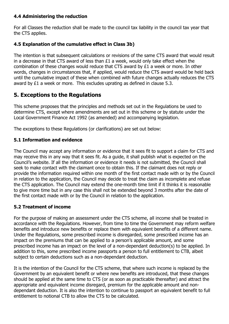#### **4.4 Administering the reduction**

For all Classes the reduction shall be made to the council tax liability in the council tax year that the CTS applies.

#### **4.5 Explanation of the cumulative effect in Class 3b)**

The intention is that subsequent calculations or revisions of the same CTS award that would result in a decrease in that CTS award of less than £1 a week, would only take effect when the combination of these changes would reduce that CTS award by £1 a week or more. In other words, changes in circumstances that, if applied, would reduce the CTS award would be held back until the cumulative impact of these when combined with future changes actually reduces the CTS award by £1 a week or more. This excludes uprating as defined in clause 5.3.

## **5. Exceptions to the Regulations**

This scheme proposes that the principles and methods set out in the Regulations be used to determine CTS, except where amendments are set out in this scheme or by statute under the Local Government Finance Act 1992 (as amended) and accompanying legislation.

The exceptions to these Regulations (or clarifications) are set out below:

#### **5.1 Information and evidence**

The Council may accept any information or evidence that it sees fit to support a claim for CTS and may receive this in any way that it sees fit. As a guide, it shall publish what is expected on the Council's website. If all the information or evidence it needs is not submitted, the Council shall seek to make contact with the claimant once to obtain this. If the claimant does not reply or provide the information required within one month of the first contact made with or by the Council in relation to the application, the Council may decide to treat the claim as incomplete and refuse the CTS application. The Council may extend the one-month time limit if it thinks it is reasonable to give more time but in any case this shall not be extended beyond 3 months after the date of the first contact made with or by the Council in relation to the application.

#### **5.2 Treatment of income**

For the purpose of making an assessment under the CTS scheme, all income shall be treated in accordance with the Regulations. However, from time to time the Government may reform welfare benefits and introduce new benefits or replace them with equivalent benefits of a different name. Under the Regulations, some prescribed income is disregarded, some prescribed income has an impact on the premiums that can be applied to a person's applicable amount, and some prescribed income has an impact on the level of a non-dependant deduction(s) to be applied. In addition to this, some prescribed income passports a person to full entitlement to CTB, albeit subject to certain deductions such as a non-dependant deduction.

It is the intention of the Council for the CTS scheme, that where such income is replaced by the Government by an equivalent benefit or where new benefits are introduced, that these changes should be applied at the same time to CTS (or as soon as practicable thereafter) and attract the appropriate and equivalent income disregard, premium for the applicable amount and nondependant deduction. It is also the intention to continue to passport an equivalent benefit to full entitlement to notional CTB to allow the CTS to be calculated.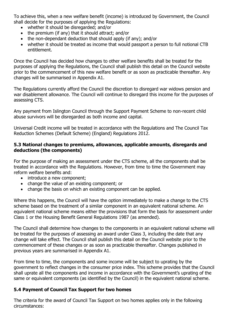To achieve this, when a new welfare benefit (income) is introduced by Government, the Council shall decide for the purposes of applying the Regulations:

- whether it should be disregarded; and/or
- the premium (if any) that it should attract; and/or
- the non-dependant deduction that should apply (if any); and/or
- whether it should be treated as income that would passport a person to full notional CTB entitlement.

Once the Council has decided how changes to other welfare benefits shall be treated for the purposes of applying the Regulations, the Council shall publish this detail on the Council website prior to the commencement of this new welfare benefit or as soon as practicable thereafter. Any changes will be summarised in Appendix A1.

The Regulations currently afford the Council the discretion to disregard war widows pension and war disablement allowance. The Council will continue to disregard this income for the purposes of assessing CTS.

Any payment from Islington Council through the Support Payment Scheme to non-recent child abuse survivors will be disregarded as both income and capital.

Universal Credit income will be treated in accordance with the Regulations and The Council Tax Reduction Schemes (Default Scheme) (England) Regulations 2012.

#### **5.3 National changes to premiums, allowances, applicable amounts, disregards and deductions (the components)**

For the purpose of making an assessment under the CTS scheme, all the components shall be treated in accordance with the Regulations. However, from time to time the Government may reform welfare benefits and:

- introduce a new component;
- change the value of an existing component; or
- change the basis on which an existing component can be applied.

Where this happens, the Council will have the option immediately to make a change to the CTS scheme based on the treatment of a similar component in an equivalent national scheme. An equivalent national scheme means either the provisions that form the basis for assessment under Class 1 or the Housing Benefit General Regulations 1987 (as amended).

The Council shall determine how changes to the components in an equivalent national scheme will be treated for the purposes of assessing an award under Class 3, including the date that any change will take effect. The Council shall publish this detail on the Council website prior to the commencement of these changes or as soon as practicable thereafter. Changes published in previous years are summarised in Appendix A1.

From time to time, the components and some income will be subject to uprating by the government to reflect changes in the consumer price index. This scheme provides that the Council shall uprate all the components and income in accordance with the Government's uprating of the same or equivalent components (as identified by the Council) in the equivalent national scheme.

#### **5.4 Payment of Council Tax Support for two homes**

The criteria for the award of Council Tax Support on two homes applies only in the following circumstances: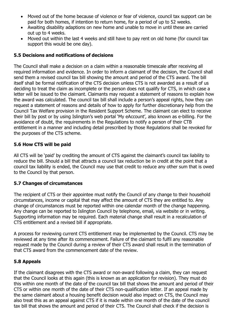- Moved out of the home because of violence or fear of violence, council tax support can be paid for both homes, if intention to return home, for a period of up to 52 weeks.
- Awaiting disability adaptions on new home and unable to move in until these are carried out up to 4 weeks.
- Moved out within the last 4 weeks and still have to pay rent on old home (for council tax support this would be one day).

#### **5.5 Decisions and notifications of decisions**

The Council shall make a decision on a claim within a reasonable timescale after receiving all required information and evidence. In order to inform a claimant of the decision, the Council shall send them a revised council tax bill showing the amount and period of the CTS award. The bill itself shall be formal notification of the CTS decision unless CTS is not awarded as a result of us deciding to treat the claim as incomplete or the person does not qualify for CTS, in which case a letter will be issued to the claimant. Claimants may request a statement of reasons to explain how the award was calculated. The council tax bill shall include a person's appeal rights, how they can request a statement of reasons and details of how to apply for further discretionary help from the Council Tax Welfare provision in the Resident Support Scheme. The claimant can elect to receive their bill by post or by using Islington's web portal 'My eAccount', also known as e-billing. For the avoidance of doubt, the requirements in the Regulations to notify a person of their CTB entitlement in a manner and including detail prescribed by those Regulations shall be revoked for the purposes of the CTS scheme.

#### **5.6 How CTS will be paid**

All CTS will be 'paid' by crediting the amount of CTS against the claimant's council tax liability to reduce the bill. Should a bill that attracts a council tax reduction be in credit at the point that a council tax liability is ended, the Council may use that credit to reduce any other sum that is owed to the Council by that person.

#### **5.7 Changes of circumstances**

The recipient of CTS or their appointee must notify the Council of any change to their household circumstances, income or capital that may affect the amount of CTS they are entitled to. Any change of circumstances must be reported within one calendar month of the change happening. Any change can be reported to Islington Council by telephone, email, via website or in writing. Supporting information may be required. Each material change shall result in a recalculation of CTS entitlement and a revised bill if appropriate.

A process for reviewing current CTS entitlement may be implemented by the Council. CTS may be reviewed at any time after its commencement. Failure of the claimant to fulfil any reasonable request made by the Council during a review of their CTS award shall result in the termination of that CTS award from the commencement date of the review.

#### **5.8 Appeals**

If the claimant disagrees with the CTS award or non-award following a claim, they can request that the Council looks at this again (this is known as an application for revision). They must do this within one month of the date of the council tax bill that shows the amount and period of their CTS or within one month of the date of their CTS non-qualification letter. If an appeal made by the same claimant about a housing benefit decision would also impact on CTS, the Council may also treat this as an appeal against CTS if it is made within one month of the date of the council tax bill that shows the amount and period of their CTS. The Council shall check if the decision is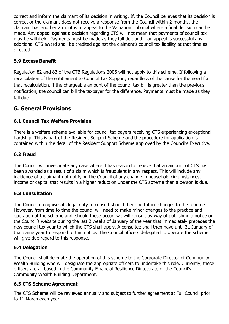correct and inform the claimant of its decision in writing. If, the Council believes that its decision is correct or the claimant does not receive a response from the Council within 2 months, the claimant has another 2 months to [appeal to the Valuation Tribunal where a final decision can be](http://www.valuationtribunal.gov.uk/A1Form.aspx) [made.](http://www.valuationtribunal.gov.uk/A1Form.aspx) Any appeal against a decision regarding CTS will not mean that payments of council tax may be withheld. Payments must be made as they fall due and if an appeal is successful any additional CTS award shall be credited against the claimant's council tax liability at that time as directed.

#### **5.9 Excess Benefit**

Regulation 82 and 83 of the CTB Regulations 2006 will not apply to this scheme. If following a recalculation of the entitlement to Council Tax Support, regardless of the cause for the need for that recalculation, if the chargeable amount of the council tax bill is greater than the previous notification, the council can bill the taxpayer for the difference. Payments must be made as they fall due.

### **6. General Provisions**

#### **6.1 Council Tax Welfare Provision**

There is a welfare scheme available for council tax payers receiving CTS experiencing exceptional hardship. This is part of the Resident Support Scheme and the procedure for application is contained within the detail of the Resident Support Scheme approved by the Council's Executive.

#### **6.2 Fraud**

The Council will investigate any case where it has reason to believe that an amount of CTS has been awarded as a result of a claim which is fraudulent in any respect. This will include any incidence of a claimant not notifying the Council of any change in household circumstances, income or capital that results in a higher reduction under the CTS scheme than a person is due.

#### **6.3 Consultation**

The Council recognises its legal duty to consult should there be future changes to the scheme. However, from time to time the council will need to make minor changes to the practice and operation of the scheme and, should these occur, we will consult by way of publishing a notice on the Council's website during the last 2 weeks of January of the year that immediately precedes the new council tax year to which the CTS shall apply. A consultee shall then have until 31 January of that same year to respond to this notice. The Council officers delegated to operate the scheme will give due regard to this response.

#### **6.4 Delegation**

The Council shall delegate the operation of this scheme to the Corporate Director of Community Wealth Building who will designate the appropriate officers to undertake this role. Currently, these officers are all based in the Community Financial Resilience Directorate of the Council's Community Wealth Building Department.

#### **6.5 CTS Scheme Agreement**

The CTS Scheme will be reviewed annually and subject to further agreement at Full Council prior to 11 March each year.